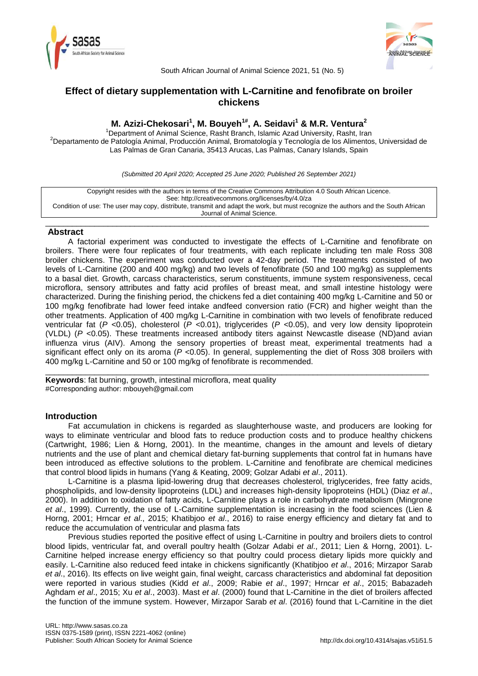



South African Journal of Animal Science 2021, 51 (No. 5)

# **Effect of dietary supplementation with L-Carnitine and fenofibrate on broiler chickens**

# **M. Azizi-Chekosari<sup>1</sup> , M. Bouyeh1# , A. Seidavi<sup>1</sup> & M.R. Ventura<sup>2</sup>**

<sup>1</sup>Department of Animal Science, Rasht Branch, Islamic Azad University, Rasht, Iran <sup>2</sup>Departamento de Patología Animal, Producción Animal, Bromatología y Tecnología de los Alimentos, Universidad de Las Palmas de Gran Canaria, 35413 Arucas, Las Palmas, Canary Islands, Spain

*(Submitted 20 April 2020; Accepted 25 June 2020; Published 26 September 2021)*

Copyright resides with the authors in terms of the Creative Commons Attribution 4.0 South African Licence. See: http://creativecommons.org/licenses/by/4.0/za Condition of use: The user may copy, distribute, transmit and adapt the work, but must recognize the authors and the South African Journal of Animal Science.

\_\_\_\_\_\_\_\_\_\_\_\_\_\_\_\_\_\_\_\_\_\_\_\_\_\_\_\_\_\_\_\_\_\_\_\_\_\_\_\_\_\_\_\_\_\_\_\_\_\_\_\_\_\_\_\_\_\_\_\_\_\_\_\_\_\_\_\_\_\_\_\_\_\_\_\_\_\_\_\_\_\_\_\_\_\_

## **Abstract**

A factorial experiment was conducted to investigate the effects of L-Carnitine and fenofibrate on broilers. There were four replicates of four treatments, with each replicate including ten male Ross 308 broiler chickens. The experiment was conducted over a 42-day period. The treatments consisted of two levels of L-Carnitine (200 and 400 mg/kg) and two levels of fenofibrate (50 and 100 mg/kg) as supplements to a basal diet. Growth, carcass characteristics, serum constituents, immune system responsiveness, cecal microflora, sensory attributes and fatty acid profiles of breast meat, and small intestine histology were characterized. During the finishing period, the chickens fed a diet containing 400 mg/kg L-Carnitine and 50 or 100 mg/kg fenofibrate had lower feed intake andfeed conversion ratio (FCR) and higher weight than the other treatments. Application of 400 mg/kg L-Carnitine in combination with two levels of fenofibrate reduced ventricular fat (*P* <0.05), cholesterol (*P* <0.01), triglycerides (*P* <0.05), and very low density lipoprotein (VLDL) (*P* <0.05). These treatments increased antibody titers against Newcastle disease (ND)and avian influenza virus (AIV). Among the sensory properties of breast meat, experimental treatments had a significant effect only on its aroma (*P* <0.05). In general, supplementing the diet of Ross 308 broilers with 400 mg/kg L-Carnitine and 50 or 100 mg/kg of fenofibrate is recommended.

\_\_\_\_\_\_\_\_\_\_\_\_\_\_\_\_\_\_\_\_\_\_\_\_\_\_\_\_\_\_\_\_\_\_\_\_\_\_\_\_\_\_\_\_\_\_\_\_\_\_\_\_\_\_\_\_\_\_\_\_\_\_\_\_\_\_\_\_\_\_\_\_\_\_\_\_\_\_\_\_\_\_\_\_\_\_

**Keywords**: fat burning, growth, intestinal microflora, meat quality #Corresponding author: mbouyeh@gmail.com

## **Introduction**

Fat accumulation in chickens is regarded as slaughterhouse waste, and producers are looking for ways to eliminate ventricular and blood fats to reduce production costs and to produce healthy chickens (Cartwright, 1986; Lien & Horng, 2001). In the meantime, changes in the amount and levels of dietary nutrients and the use of plant and chemical dietary fat-burning supplements that control fat in humans have been introduced as effective solutions to the problem. L-Carnitine and fenofibrate are chemical medicines that control blood lipids in humans (Yang & Keating, 2009; Golzar Adabi *et al*., 2011).

L-Carnitine is a plasma lipid-lowering drug that decreases cholesterol, triglycerides, free fatty acids, phospholipids, and low-density lipoproteins (LDL) and increases high-density lipoproteins (HDL) (Diaz *et al*., 2000). In addition to oxidation of fatty acids, L-Carnitine plays a role in carbohydrate metabolism (Mingrone *et al*., 1999). Currently, the use of L-Carnitine supplementation is increasing in the food sciences (Lien & Horng, 2001; Hrncar *et al*., 2015; Khatibjoo *et al*., 2016) to raise energy efficiency and dietary fat and to reduce the accumulation of ventricular and plasma fats

Previous studies reported the positive effect of using L-Carnitine in poultry and broilers diets to control blood lipids, ventricular fat, and overall poultry health (Golzar Adabi *et al*., 2011; Lien & Horng, 2001). L-Carnitine helped increase energy efficiency so that poultry could process dietary lipids more quickly and easily. L-Carnitine also reduced feed intake in chickens significantly (Khatibjoo *et al*., 2016; Mirzapor Sarab *et al*., 2016). Its effects on live weight gain, final weight, carcass characteristics and abdominal fat deposition were reported in various studies (Kidd *et al*., 2009; Rabie *et al*., 1997; Hrncar *et al*., 2015; Babazadeh Aghdam *et al*., 2015; Xu *et al*., 2003). Mast *et al*. (2000) found that L-Carnitine in the diet of broilers affected the function of the immune system. However, Mirzapor Sarab *et al*. (2016) found that L-Carnitine in the diet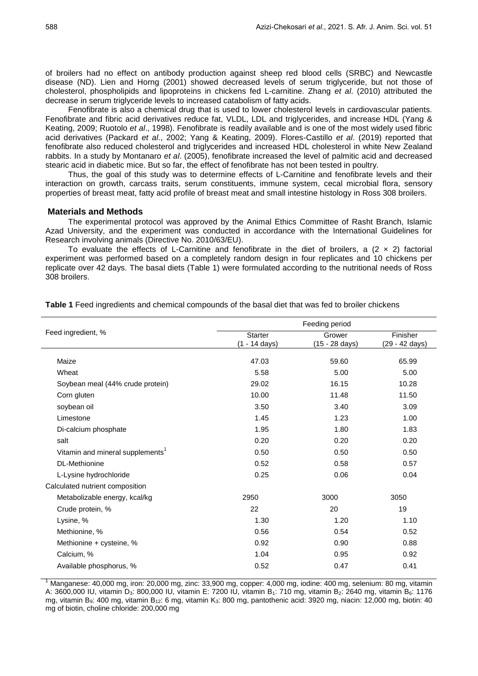of broilers had no effect on antibody production against sheep red blood cells (SRBC) and Newcastle disease (ND). Lien and Horng (2001) showed decreased levels of serum triglyceride, but not those of cholesterol, phospholipids and lipoproteins in chickens fed L-carnitine. Zhang *et al*. (2010) attributed the decrease in serum triglyceride levels to increased catabolism of fatty acids.

Fenofibrate is also a chemical drug that is used to lower cholesterol levels in cardiovascular patients. Fenofibrate and fibric acid derivatives reduce fat, VLDL, LDL and triglycerides, and increase HDL (Yang & Keating, 2009; Ruotolo *et al*., 1998). Fenofibrate is readily available and is one of the most widely used fibric acid derivatives (Packard *et al*., 2002; Yang & Keating, 2009). Flores-Castillo *et al*. (2019) reported that fenofibrate also reduced cholesterol and triglycerides and increased HDL cholesterol in white New Zealand rabbits. In a study by Montanaro *et al*. (2005), fenofibrate increased the level of palmitic acid and decreased stearic acid in diabetic mice. But so far, the effect of fenofibrate has not been tested in poultry.

Thus, the goal of this study was to determine effects of L-Carnitine and fenofibrate levels and their interaction on growth, carcass traits, serum constituents, immune system, cecal microbial flora, sensory properties of breast meat, fatty acid profile of breast meat and small intestine histology in Ross 308 broilers.

### **Materials and Methods**

The experimental protocol was approved by the Animal Ethics Committee of Rasht Branch, Islamic Azad University, and the experiment was conducted in accordance with the International Guidelines for Research involving animals (Directive No. 2010/63/EU).

To evaluate the effects of L-Carnitine and fenofibrate in the diet of broilers, a  $(2 \times 2)$  factorial experiment was performed based on a completely random design in four replicates and 10 chickens per replicate over 42 days. The basal diets (Table 1) were formulated according to the nutritional needs of Ross 308 broilers.

| Feeding period                  |                          |                            |  |  |  |
|---------------------------------|--------------------------|----------------------------|--|--|--|
| <b>Starter</b><br>(1 - 14 days) | Grower<br>(15 - 28 days) | Finisher<br>(29 - 42 days) |  |  |  |
| 47.03                           | 59.60                    | 65.99                      |  |  |  |
| 5.58                            | 5.00                     | 5.00                       |  |  |  |
| 29.02                           | 16.15                    | 10.28                      |  |  |  |
| 10.00                           | 11.48                    | 11.50                      |  |  |  |
| 3.50                            | 3.40                     | 3.09                       |  |  |  |
| 1.45                            | 1.23                     | 1.00                       |  |  |  |
| 1.95                            | 1.80                     | 1.83                       |  |  |  |
| 0.20                            | 0.20                     | 0.20                       |  |  |  |
| 0.50                            | 0.50                     | 0.50                       |  |  |  |
| 0.52                            | 0.58                     | 0.57                       |  |  |  |
| 0.25                            | 0.06                     | 0.04                       |  |  |  |
|                                 |                          |                            |  |  |  |
| 2950                            | 3000                     | 3050                       |  |  |  |
| 22                              | 20                       | 19                         |  |  |  |
| 1.30                            | 1.20                     | 1.10                       |  |  |  |
| 0.56                            | 0.54                     | 0.52                       |  |  |  |
| 0.92                            | 0.90                     | 0.88                       |  |  |  |
| 1.04                            | 0.95                     | 0.92                       |  |  |  |
| 0.52                            | 0.47                     | 0.41                       |  |  |  |
|                                 |                          |                            |  |  |  |

**Table 1** Feed ingredients and chemical compounds of the basal diet that was fed to broiler chickens

<sup>1</sup> Manganese: 40,000 mg, iron: 20,000 mg, zinc: 33,900 mg, copper: 4,000 mg, iodine: 400 mg, selenium: 80 mg, vitamin A: 3600,000 IU, vitamin D<sub>3</sub>: 800,000 IU, vitamin E: 7200 IU, vitamin B<sub>1</sub>: 710 mg, vitamin B<sub>2</sub>: 2640 mg, vitamin B<sub>6</sub>: 1176 mg, vitamin B<sub>9</sub>: 400 mg, vitamin B<sub>12</sub>: 6 mg, vitamin K<sub>3</sub>: 800 mg, pantothenic acid: 3920 mg, niacin: 12,000 mg, biotin: 40 mg of biotin, choline chloride: 200,000 mg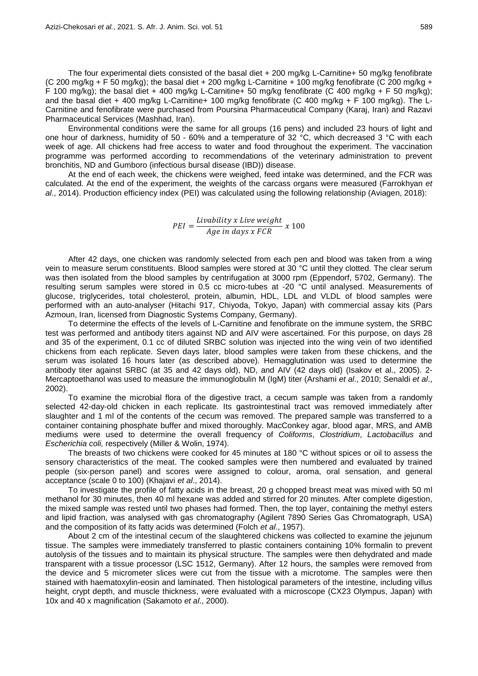The four experimental diets consisted of the basal diet + 200 mg/kg L-Carnitine+ 50 mg/kg fenofibrate (C 200 mg/kg + F 50 mg/kg); the basal diet + 200 mg/kg L-Carnitine + 100 mg/kg fenofibrate (C 200 mg/kg + F 100 mg/kg); the basal diet + 400 mg/kg L-Carnitine+ 50 mg/kg fenofibrate (C 400 mg/kg + F 50 mg/kg); and the basal diet + 400 mg/kg L-Carnitine+ 100 mg/kg fenofibrate (C 400 mg/kg + F 100 mg/kg). The L-Carnitine and fenofibrate were purchased from Poursina Pharmaceutical Company (Karaj, Iran) and Razavi Pharmaceutical Services (Mashhad, Iran).

Environmental conditions were the same for all groups (16 pens) and included 23 hours of light and one hour of darkness, humidity of 50 - 60% and a temperature of 32 °C, which decreased 3 °C with each week of age. All chickens had free access to water and food throughout the experiment. The vaccination programme was performed according to recommendations of the veterinary administration to prevent bronchitis, ND and Gumboro (infectious bursal disease (IBD)) disease.

At the end of each week, the chickens were weighed, feed intake was determined, and the FCR was calculated. At the end of the experiment, the weights of the carcass organs were measured (Farrokhyan *et al*., 2014). Production efficiency index (PEI) was calculated using the following relationship (Aviagen, 2018):

> $PEI = \frac{L}{A}$  $\overline{A}$

After 42 days, one chicken was randomly selected from each pen and blood was taken from a wing vein to measure serum constituents. Blood samples were stored at 30 °C until they clotted. The clear serum was then isolated from the blood samples by centrifugation at 3000 rpm (Eppendorf, 5702, Germany). The resulting serum samples were stored in 0.5 cc micro-tubes at -20 °C until analysed. Measurements of glucose, triglycerides, total cholesterol, protein, albumin, HDL, LDL and VLDL of blood samples were performed with an auto-analyser (Hitachi 917, Chiyoda, Tokyo, Japan) with commercial assay kits (Pars Azmoun, Iran, licensed from Diagnostic Systems Company, Germany).

To determine the effects of the levels of L-Carnitine and fenofibrate on the immune system, the SRBC test was performed and antibody titers against ND and AIV were ascertained. For this purpose, on days 28 and 35 of the experiment, 0.1 cc of diluted SRBC solution was injected into the wing vein of two identified chickens from each replicate. Seven days later, blood samples were taken from these chickens, and the serum was isolated 16 hours later (as described above). Hemagglutination was used to determine the antibody titer against SRBC (at 35 and 42 days old), ND, and AIV (42 days old) (Isakov et al., 2005). 2-Mercaptoethanol was used to measure the immunoglobulin M (IgM) titer (Arshami *et al*., 2010; Senaldi *et al*., 2002).

To examine the microbial flora of the digestive tract, a cecum sample was taken from a randomly selected 42-day-old chicken in each replicate. Its gastrointestinal tract was removed immediately after slaughter and 1 ml of the contents of the cecum was removed. The prepared sample was transferred to a container containing phosphate buffer and mixed thoroughly. MacConkey agar, blood agar, MRS, and AMB mediums were used to determine the overall frequency of *Coliforms*, *Clostridium*, *Lactobacillus* and *Escherichia coli,* respectively (Miller & Wolin, 1974).

The breasts of two chickens were cooked for 45 minutes at 180 °C without spices or oil to assess the sensory characteristics of the meat. The cooked samples were then numbered and evaluated by trained people (six-person panel) and scores were assigned to colour, aroma, oral sensation, and general acceptance (scale 0 to 100) (Khajavi *et al*., 2014).

To investigate the profile of fatty acids in the breast, 20 g chopped breast meat was mixed with 50 ml methanol for 30 minutes, then 40 ml hexane was added and stirred for 20 minutes. After complete digestion, the mixed sample was rested until two phases had formed. Then, the top layer, containing the methyl esters and lipid fraction, was analysed with gas chromatography (Agilent 7890 Series Gas Chromatograph, USA) and the composition of its fatty acids was determined (Folch *et al*., 1957).

About 2 cm of the intestinal cecum of the slaughtered chickens was collected to examine the jejunum tissue. The samples were immediately transferred to plastic containers containing 10% formalin to prevent autolysis of the tissues and to maintain its physical structure. The samples were then dehydrated and made transparent with a tissue processor (LSC 1512, Germany). After 12 hours, the samples were removed from the device and 5 micrometer slices were cut from the tissue with a microtome. The samples were then stained with haematoxylin-eosin and laminated. Then histological parameters of the intestine, including villus height, crypt depth, and muscle thickness, were evaluated with a microscope (CX23 Olympus, Japan) with 10x and 40 x magnification (Sakamoto *et al*., 2000).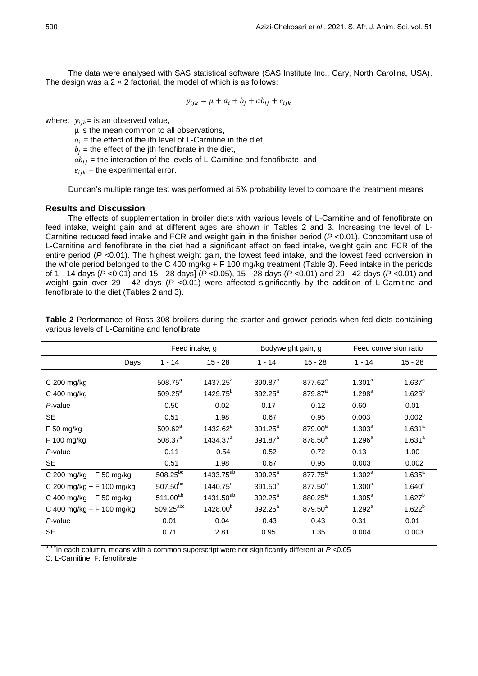The data were analysed with SAS statistical software (SAS Institute Inc., Cary, North Carolina, USA). The design was a  $2 \times 2$  factorial, the model of which is as follows:

$$
y_{ijk} = \mu + a_i + b_j + ab_{ij} + e_{ijk}
$$

where:  $y_{ijk}$  = is an observed value,

µ is the mean common to all observations,

 $a_i$  = the effect of the ith level of L-Carnitine in the diet,

 $b_i$  = the effect of the jth fenofibrate in the diet,

 $ab_{ij}$  = the interaction of the levels of L-Carnitine and fenofibrate, and

 $e_{ijk}$  = the experimental error.

Duncan's multiple range test was performed at 5% probability level to compare the treatment means

### **Results and Discussion**

The effects of supplementation in broiler diets with various levels of L-Carnitine and of fenofibrate on feed intake, weight gain and at different ages are shown in Tables 2 and 3. Increasing the level of L-Carnitine reduced feed intake and FCR and weight gain in the finisher period (*P* <0.01). Concomitant use of L-Carnitine and fenofibrate in the diet had a significant effect on feed intake, weight gain and FCR of the entire period (*P* <0.01). The highest weight gain, the lowest feed intake, and the lowest feed conversion in the whole period belonged to the C 400 mg/kg + F 100 mg/kg treatment (Table 3). Feed intake in the periods of 1 - 14 days (*P* <0.01) and 15 - 28 days] (*P* <0.05), 15 - 28 days (*P* <0.01) and 29 - 42 days (*P* <0.01) and weight gain over 29 - 42 days (P <0.01) were affected significantly by the addition of L-Carnitine and fenofibrate to the diet (Tables 2 and 3).

|                           | Feed intake, q          |                       | Bodyweight gain, g |                     | Feed conversion ratio |             |  |
|---------------------------|-------------------------|-----------------------|--------------------|---------------------|-----------------------|-------------|--|
| Days                      | $1 - 14$                | $15 - 28$             | $1 - 14$           | $15 - 28$           | $1 - 14$              | $15 - 28$   |  |
| C 200 mg/kg               | $508.75^{\circ}$        | $1437.25^a$           | $390.87^a$         | $877.62^{\circ}$    | $1.301^a$             | $1.637^{a}$ |  |
| C 400 mg/kg               | $509.25^a$              | 1429.75 <sup>b</sup>  | $392.25^a$         | 879.87 <sup>a</sup> | $1.298^a$             | $1.625^{b}$ |  |
| $P$ -value                | 0.50                    | 0.02                  | 0.17               | 0.12                | 0.60                  | 0.01        |  |
| <b>SE</b>                 | 0.51                    | 1.98                  | 0.67               | 0.95                | 0.003                 | 0.002       |  |
| F 50 mg/kg                | $509.62^a$              | $1432.62^a$           | $391.25^a$         | 879.00 <sup>a</sup> | $1.303^{a}$           | $1.631^{a}$ |  |
| F 100 mg/kg               | $508.37^{a}$            | 1434.37 <sup>a</sup>  | $391.87^a$         | 878.50 <sup>a</sup> | $1.296^a$             | $1.631^{a}$ |  |
| P-value                   | 0.11                    | 0.54                  | 0.52               | 0.72                | 0.13                  | 1.00        |  |
| <b>SE</b>                 | 0.51                    | 1.98                  | 0.67               | 0.95                | 0.003                 | 0.002       |  |
| C 200 mg/kg + F 50 mg/kg  | $508.25^{bc}$           | 1433.75 <sup>ab</sup> | $390.25^a$         | 877.75 <sup>a</sup> | 1.302 <sup>a</sup>    | $1.635^{a}$ |  |
| C 200 mg/kg + F 100 mg/kg | $507.50^{bc}$           | $1440.75^a$           | $391.50^a$         | 877.50 <sup>a</sup> | $1.300^a$             | $1.640^{a}$ |  |
| C 400 mg/kg + F 50 mg/kg  | $511.00^{ab}$           | 1431.50 <sup>ab</sup> | $392.25^a$         | 880.25 <sup>a</sup> | $1.305^a$             | $1.627^{b}$ |  |
| C 400 mg/kg + F 100 mg/kg | $509.25$ <sup>abc</sup> | 1428.00 <sup>b</sup>  | $392.25^a$         | 879.50 <sup>a</sup> | 1.292 <sup>a</sup>    | $1.622^{b}$ |  |
| P-value                   | 0.01                    | 0.04                  | 0.43               | 0.43                | 0.31                  | 0.01        |  |
| <b>SE</b>                 | 0.71                    | 2.81                  | 0.95               | 1.35                | 0.004                 | 0.003       |  |

**Table 2** Performance of Ross 308 broilers during the starter and grower periods when fed diets containing various levels of L-Carnitine and fenofibrate

a,b,cIn each column, means with a common superscript were not significantly different at *P* <0.05

C: L-Carnitine, F: fenofibrate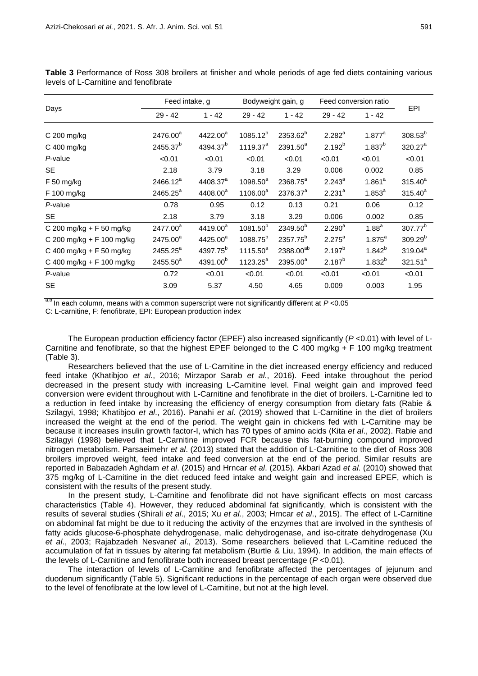|                           |                      | Feed intake, g       |                      | Bodyweight gain, g    | Feed conversion ratio |                    |                     |
|---------------------------|----------------------|----------------------|----------------------|-----------------------|-----------------------|--------------------|---------------------|
| Days                      | $29 - 42$            | $1 - 42$             | $29 - 42$            | $1 - 42$              | $29 - 42$             | $1 - 42$           | <b>EPI</b>          |
| C 200 mg/kg               | 2476.00 <sup>a</sup> | 4422.00 <sup>a</sup> | $1085.12^{b}$        | 2353.62 <sup>b</sup>  | $2.282^{a}$           | $1.877^a$          | $308.53^{b}$        |
| C 400 mg/kg               | 2455.37 <sup>b</sup> | 4394.37 <sup>b</sup> | 1119.37 <sup>a</sup> | 2391.50 <sup>a</sup>  | $2.192^{b}$           | $1.837^{b}$        | 320.27 <sup>a</sup> |
| P-value                   | < 0.01               | < 0.01               | < 0.01               | < 0.01                | < 0.01                | < 0.01             | < 0.01              |
| <b>SE</b>                 | 2.18                 | 3.79                 | 3.18                 | 3.29                  | 0.006                 | 0.002              | 0.85                |
| $F$ 50 mg/kg              | 2466.12 <sup>a</sup> | 4408.37 <sup>a</sup> | $1098.50^{a}$        | 2368.75 <sup>a</sup>  | $2.243^a$             | 1.861 <sup>a</sup> | $315.40^{a}$        |
| F 100 mg/kg               | 2465.25 <sup>a</sup> | 4408.00 <sup>a</sup> | 1106.00 <sup>a</sup> | 2376.37 <sup>a</sup>  | $2.231^{a}$           | $1.853^{a}$        | $315.40^{a}$        |
| P-value                   | 0.78                 | 0.95                 | 0.12                 | 0.13                  | 0.21                  | 0.06               | 0.12                |
| SE.                       | 2.18                 | 3.79                 | 3.18                 | 3.29                  | 0.006                 | 0.002              | 0.85                |
| C 200 mg/kg + F 50 mg/kg  | 2477.00 <sup>a</sup> | 4419.00 <sup>a</sup> | 1081.50 <sup>b</sup> | 2349.50 <sup>b</sup>  | $2.290^{a}$           | 1.88 <sup>a</sup>  | 307.77 <sup>b</sup> |
| C 200 mg/kg + F 100 mg/kg | 2475.00 <sup>a</sup> | 4425.00 <sup>a</sup> | 1088.75 <sup>b</sup> | 2357.75 <sup>b</sup>  | $2.275^a$             | $1.875^{a}$        | $309.29^{b}$        |
| C 400 mg/kg + F 50 mg/kg  | 2455.25 <sup>a</sup> | 4397.75 <sup>b</sup> | $1115.50^{a}$        | 2388.00 <sup>ab</sup> | $2.197^{b}$           | $1.842^{b}$        | $319.04^a$          |
| C 400 mg/kg + F 100 mg/kg | $2455.50^{a}$        | 4391.00 <sup>b</sup> | 1123.25 <sup>a</sup> | 2395.00 <sup>a</sup>  | $2.187^{b}$           | $1.832^{b}$        | $321.51^a$          |
| P-value                   | 0.72                 | < 0.01               | < 0.01               | < 0.01                | < 0.01                | < 0.01             | < 0.01              |
| <b>SE</b>                 | 3.09                 | 5.37                 | 4.50                 | 4.65                  | 0.009                 | 0.003              | 1.95                |

**Table 3** Performance of Ross 308 broilers at finisher and whole periods of age fed diets containing various levels of L-Carnitine and fenofibrate

a,b In each column, means with a common superscript were not significantly different at *P* <0.05

C: L-carnitine, F: fenofibrate, EPI: European production index

The European production efficiency factor (EPEF) also increased significantly (*P* <0.01) with level of L-Carnitine and fenofibrate, so that the highest EPEF belonged to the C 400 mg/kg + F 100 mg/kg treatment (Table 3).

Researchers believed that the use of L-Carnitine in the diet increased energy efficiency and reduced feed intake (Khatibjoo *et al*., 2016; Mirzapor Sarab *et al*., 2016). Feed intake throughout the period decreased in the present study with increasing L-Carnitine level. Final weight gain and improved feed conversion were evident throughout with L-Carnitine and fenofibrate in the diet of broilers. L-Carnitine led to a reduction in feed intake by increasing the efficiency of energy consumption from dietary fats (Rabie & Szilagyi, 1998; Khatibjoo *et al*., 2016). Panahi *et al*. (2019) showed that L-Carnitine in the diet of broilers increased the weight at the end of the period. The weight gain in chickens fed with L-Carnitine may be because it increases insulin growth factor-I, which has 70 types of amino acids (Kita *et al*., 2002). Rabie and Szilagyi (1998) believed that L-Carnitine improved FCR because this fat-burning compound improved nitrogen metabolism. Parsaeimehr *et al*. (2013) stated that the addition of L-Carnitine to the diet of Ross 308 broilers improved weight, feed intake and feed conversion at the end of the period. Similar results are reported in Babazadeh Aghdam *et al*. (2015) and Hrncar *et al*. (2015). Akbari Azad *et al*. (2010) showed that 375 mg/kg of L-Carnitine in the diet reduced feed intake and weight gain and increased EPEF, which is consistent with the results of the present study.

In the present study, L-Carnitine and fenofibrate did not have significant effects on most carcass characteristics (Table 4). However, they reduced abdominal fat significantly, which is consistent with the results of several studies (Shirali *et al*., 2015; Xu *et al.*, 2003; Hrncar *et al*., 2015). The effect of L-Carnitine on abdominal fat might be due to it reducing the activity of the enzymes that are involved in the synthesis of fatty acids glucose-6-phosphate dehydrogenase, malic dehydrogenase, and iso-citrate dehydrogenase (Xu *et al*., 2003; Rajabzadeh Nesvan*et al*., 2013). Some researchers believed that L-Carnitine reduced the accumulation of fat in tissues by altering fat metabolism (Burtle & Liu, 1994). In addition, the main effects of the levels of L-Carnitine and fenofibrate both increased breast percentage (*P* <0.01).

The interaction of levels of L-Carnitine and fenofibrate affected the percentages of jejunum and duodenum significantly (Table 5). Significant reductions in the percentage of each organ were observed due to the level of fenofibrate at the low level of L-Carnitine, but not at the high level.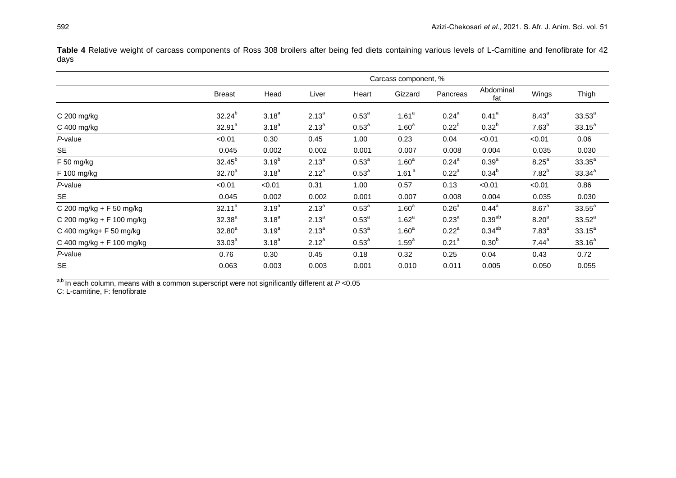Table 4 Relative weight of carcass components of Ross 308 broilers after being fed diets containing various levels of L-Carnitine and fenofibrate for 42 days

|                           | Carcass component, % |            |            |                |                   |                   |                   |                   |             |
|---------------------------|----------------------|------------|------------|----------------|-------------------|-------------------|-------------------|-------------------|-------------|
|                           | <b>Breast</b>        | Head       | Liver      | Heart          | Gizzard           | Pancreas          | Abdominal<br>fat  | Wings             | Thigh       |
| $C$ 200 mg/kg             | $32.24^{b}$          | $3.18^{a}$ | $2.13^{a}$ | $0.53^{a}$     | 1.61 <sup>a</sup> | $0.24^{a}$        | 0.41 <sup>a</sup> | $8.43^{a}$        | $33.53^a$   |
| C 400 mg/kg               | $32.91^a$            | $3.18^{a}$ | $2.13^{a}$ | $0.53^{\circ}$ | 1.60 <sup>a</sup> | $0.22^{b}$        | $0.32^{b}$        | 7.63 <sup>b</sup> | $33.15^a$   |
| P-value                   | < 0.01               | 0.30       | 0.45       | 1.00           | 0.23              | 0.04              | < 0.01            | < 0.01            | 0.06        |
| <b>SE</b>                 | 0.045                | 0.002      | 0.002      | 0.001          | 0.007             | 0.008             | 0.004             | 0.035             | 0.030       |
| F 50 mg/kg                | $32.45^{b}$          | $3.19^{b}$ | $2.13^{a}$ | $0.53^{a}$     | 1.60 <sup>a</sup> | $0.24^\text{a}$   | 0.39 <sup>a</sup> | 8.25 <sup>a</sup> | $33.35^{a}$ |
| F 100 mg/kg               | $32.70^{a}$          | $3.18^{a}$ | $2.12^{a}$ | $0.53^{a}$     | 1.61 $a$          | $0.22^a$          | $0.34^{b}$        | $7.82^{b}$        | $33.34^{a}$ |
| P-value                   | < 0.01               | < 0.01     | 0.31       | 1.00           | 0.57              | 0.13              | < 0.01            | < 0.01            | 0.86        |
| <b>SE</b>                 | 0.045                | 0.002      | 0.002      | 0.001          | 0.007             | 0.008             | 0.004             | 0.035             | 0.030       |
| C 200 mg/kg + F 50 mg/kg  | $32.11^a$            | $3.19^{a}$ | $2.13^{a}$ | $0.53^{a}$     | 1.60 <sup>a</sup> | 0.26 <sup>a</sup> | $0.44^{\text{a}}$ | $8.67^{\circ}$    | $33.55^a$   |
| C 200 mg/kg + F 100 mg/kg | $32.38^{a}$          | $3.18^{a}$ | $2.13^{a}$ | $0.53^{a}$     | $1.62^a$          | $0.23^{a}$        | $0.39^{ab}$       | $8.20^{a}$        | $33.52^a$   |
| C 400 mg/kg+ F 50 mg/kg   | $32.80^{a}$          | $3.19^{a}$ | $2.13^{a}$ | $0.53^{a}$     | 1.60 <sup>a</sup> | $0.22^a$          | $0.34^{ab}$       | 7.83 <sup>a</sup> | $33.15^a$   |
| C 400 mg/kg + F 100 mg/kg | $33.03^{a}$          | $3.18^{a}$ | $2.12^{a}$ | $0.53^{a}$     | $1.59^{a}$        | 0.21 <sup>a</sup> | 0.30 <sup>b</sup> | $7.44^a$          | $33.16^a$   |
| P-value                   | 0.76                 | 0.30       | 0.45       | 0.18           | 0.32              | 0.25              | 0.04              | 0.43              | 0.72        |
| <b>SE</b>                 | 0.063                | 0.003      | 0.003      | 0.001          | 0.010             | 0.011             | 0.005             | 0.050             | 0.055       |

a,b In each column, means with a common superscript were not significantly different at  $P < 0.05$ 

C: L-carnitine, F: fenofibrate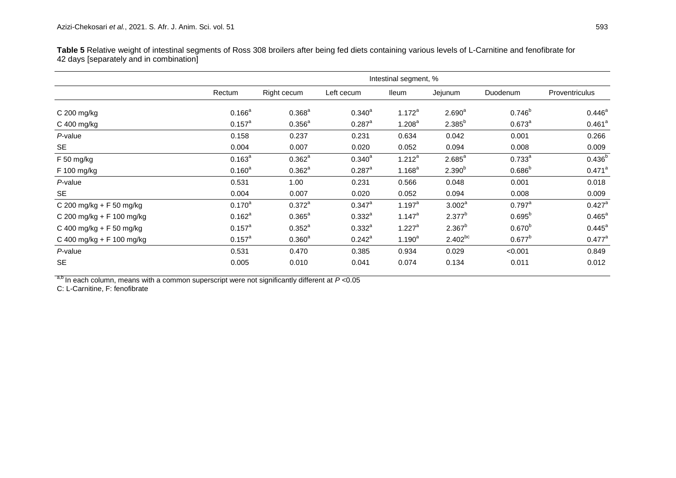**Table 5** Relative weight of intestinal segments of Ross 308 broilers after being fed diets containing various levels of L-Carnitine and fenofibrate for 42 days [separately and in combination]

|                           | Intestinal segment, % |                 |                      |                    |                    |                    |                      |  |  |
|---------------------------|-----------------------|-----------------|----------------------|--------------------|--------------------|--------------------|----------------------|--|--|
|                           | Rectum                | Right cecum     | Left cecum           | <b>Ileum</b>       | Jejunum            | Duodenum           | Proventriculus       |  |  |
| C 200 mg/kg               | $0.166^a$             | $0.368^{a}$     | $0.340^{\circ}$      | $1.172^a$          | 2.690 <sup>a</sup> | $0.746^b$          | $0.446^{\circ}$      |  |  |
| C 400 mg/kg               | $0.157^{\text{a}}$    | $0.356^{a}$     | $0.287$ <sup>a</sup> | 1.208 <sup>a</sup> | $2.385^{b}$        | $0.673^a$          | 0.461 <sup>a</sup>   |  |  |
| P-value                   | 0.158                 | 0.237           | 0.231                | 0.634              | 0.042              | 0.001              | 0.266                |  |  |
| <b>SE</b>                 | 0.004                 | 0.007           | 0.020                | 0.052              | 0.094              | 0.008              | 0.009                |  |  |
| F 50 mg/kg                | $0.163^{a}$           | $0.362^a$       | $0.340^{a}$          | $1.212^a$          | $2.685^{a}$        | $0.733^{a}$        | $0.436^{b}$          |  |  |
| F 100 mg/kg               | $0.160^{a}$           | $0.362^a$       | $0.287$ <sup>a</sup> | $1.168^{a}$        | $2.390^{b}$        | $0.686^{b}$        | $0.471$ <sup>a</sup> |  |  |
| P-value                   | 0.531                 | 1.00            | 0.231                | 0.566              | 0.048              | 0.001              | 0.018                |  |  |
| <b>SE</b>                 | 0.004                 | 0.007           | 0.020                | 0.052              | 0.094              | 0.008              | 0.009                |  |  |
| C 200 mg/kg + F 50 mg/kg  | $0.170^{a}$           | $0.372^{a}$     | $0.347^{\circ}$      | $1.197^a$          | $3.002^a$          | $0.797^{\text{a}}$ | $0.427$ <sup>a</sup> |  |  |
| C 200 mg/kg + F 100 mg/kg | $0.162^a$             | $0.365^{\circ}$ | $0.332^{a}$          | $1.147^a$          | $2.377^{b}$        | $0.695^{b}$        | $0.465^{\text{a}}$   |  |  |
| C 400 mg/kg + F 50 mg/kg  | $0.157^a$             | $0.352^a$       | $0.332^{a}$          | $1.227^a$          | $2.367^{b}$        | $0.670^{b}$        | $0.445^{\circ}$      |  |  |
| C 400 mg/kg + F 100 mg/kg | $0.157^{\text{a}}$    | $0.360^{a}$     | $0.242^a$            | $1.190^{a}$        | $2.402^{bc}$       | $0.677^{b}$        | $0.477^{\text{a}}$   |  |  |
| $P$ -value                | 0.531                 | 0.470           | 0.385                | 0.934              | 0.029              | < 0.001            | 0.849                |  |  |
| <b>SE</b>                 | 0.005                 | 0.010           | 0.041                | 0.074              | 0.134              | 0.011              | 0.012                |  |  |

<sup>a,b</sup> In each column, means with a common superscript were not significantly different at *P* <0.05

C: L-Carnitine, F: fenofibrate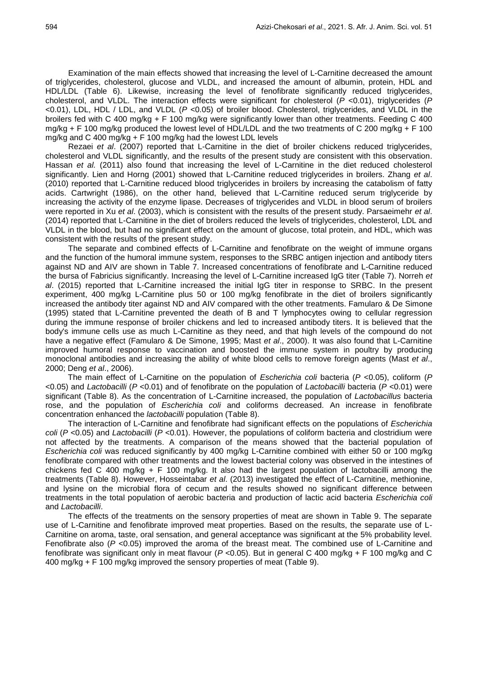Examination of the main effects showed that increasing the level of L-Carnitine decreased the amount of triglycerides, cholesterol, glucose and VLDL, and increased the amount of albumin, protein, HDL and HDL/LDL (Table 6). Likewise, increasing the level of fenofibrate significantly reduced triglycerides, cholesterol, and VLDL. The interaction effects were significant for cholesterol (*P* <0.01), triglycerides (*P*  <0.01), LDL, HDL / LDL, and VLDL (*P* <0.05) of broiler blood. Cholesterol, triglycerides, and VLDL in the broilers fed with C 400 mg/kg + F 100 mg/kg were significantly lower than other treatments. Feeding C 400 mg/kg + F 100 mg/kg produced the lowest level of HDL/LDL and the two treatments of C 200 mg/kg + F 100 mg/kg and C 400 mg/kg + F 100 mg/kg had the lowest LDL levels

Rezaei *et al*. (2007) reported that L-Carnitine in the diet of broiler chickens reduced triglycerides, cholesterol and VLDL significantly, and the results of the present study are consistent with this observation. Hassan *et al.* (2011) also found that increasing the level of L-Carnitine in the diet reduced cholesterol significantly. Lien and Horng (2001) showed that L-Carnitine reduced triglycerides in broilers. Zhang *et al*. (2010) reported that L-Carnitine reduced blood triglycerides in broilers by increasing the catabolism of fatty acids. Cartwright (1986), on the other hand, believed that L-Carnitine reduced serum triglyceride by increasing the activity of the enzyme lipase. Decreases of triglycerides and VLDL in blood serum of broilers were reported in Xu *et al*. (2003), which is consistent with the results of the present study. Parsaeimehr *et al*. (2014) reported that L-Carnitine in the diet of broilers reduced the levels of triglycerides, cholesterol, LDL and VLDL in the blood, but had no significant effect on the amount of glucose, total protein, and HDL, which was consistent with the results of the present study.

The separate and combined effects of L-Carnitine and fenofibrate on the weight of immune organs and the function of the humoral immune system, responses to the SRBC antigen injection and antibody titers against ND and AIV are shown in Table 7. Increased concentrations of fenofibrate and L-Carnitine reduced the bursa of Fabricius significantly. Increasing the level of L-Carnitine increased IgG titer (Table 7). Norreh *et al*. (2015) reported that L-Carnitine increased the initial IgG titer in response to SRBC. In the present experiment, 400 mg/kg L-Carnitine plus 50 or 100 mg/kg fenofibrate in the diet of broilers significantly increased the antibody titer against ND and AIV compared with the other treatments. Famularo & De Simone (1995) stated that L-Carnitine prevented the death of B and T lymphocytes owing to cellular regression during the immune response of broiler chickens and led to increased antibody titers. It is believed that the body's immune cells use as much L-Carnitine as they need, and that high levels of the compound do not have a negative effect (Famularo & De Simone, 1995; Mast *et al*., 2000). It was also found that L-Carnitine improved humoral response to vaccination and boosted the immune system in poultry by producing monoclonal antibodies and increasing the ability of white blood cells to remove foreign agents (Mast *et al*., 2000; Deng *et al*., 2006).

The main effect of L-Carnitine on the population of *Escherichia coli* bacteria (*P* <0.05), coliform (*P*  <0.05) and *Lactobacilli* (*P* <0.01) and of fenofibrate on the population of *Lactobacilli* bacteria (*P* <0.01) were significant (Table 8). As the concentration of L-Carnitine increased, the population of *Lactobacillus* bacteria rose, and the population of *Escherichia coli* and coliforms decreased. An increase in fenofibrate concentration enhanced the *lactobacilli* population (Table 8).

The interaction of L-Carnitine and fenofibrate had significant effects on the populations of *Escherichia coli* (*P* <0.05) and *Lactobacilli* (*P* <0.01). However, the populations of coliform bacteria and clostridium were not affected by the treatments. A comparison of the means showed that the bacterial population of *Escherichia coli* was reduced significantly by 400 mg/kg L-Carnitine combined with either 50 or 100 mg/kg fenofibrate compared with other treatments and the lowest bacterial colony was observed in the intestines of chickens fed C 400 mg/kg + F 100 mg/kg. It also had the largest population of lactobacilli among the treatments (Table 8). However, Hosseintabar *et al*. (2013) investigated the effect of L-Carnitine, methionine, and lysine on the microbial flora of cecum and the results showed no significant difference between treatments in the total population of aerobic bacteria and production of lactic acid bacteria *Escherichia coli* and *Lactobacilli*.

The effects of the treatments on the sensory properties of meat are shown in Table 9. The separate use of L-Carnitine and fenofibrate improved meat properties. Based on the results, the separate use of L-Carnitine on aroma, taste, oral sensation, and general acceptance was significant at the 5% probability level. Fenofibrate also ( $P$  <0.05) improved the aroma of the breast meat. The combined use of L-Carnitine and fenofibrate was significant only in meat flavour (*P* <0.05). But in general C 400 mg/kg + F 100 mg/kg and C 400 mg/kg + F 100 mg/kg improved the sensory properties of meat (Table 9).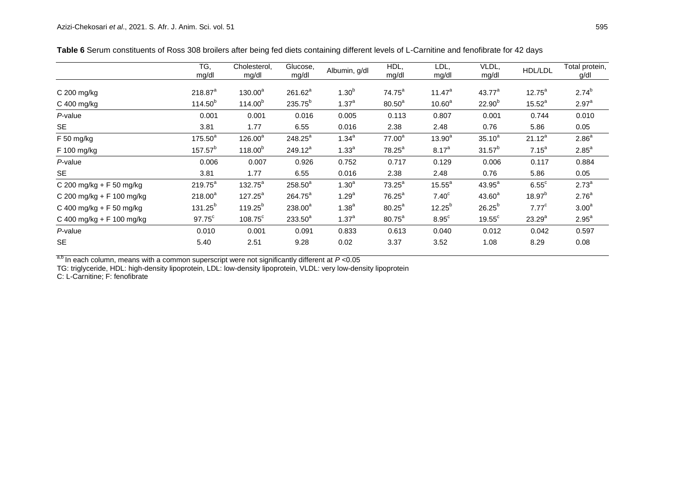|                             | TG,<br>mg/dl        | Cholesterol,<br>mg/dl | Glucose,<br>mg/dl   | Albumin, g/dl     | HDL,<br>mg/dl      | LDL,<br>mg/dl      | VLDL,<br>mg/dl     | HDL/LDL           | Total protein,<br>g/dl |
|-----------------------------|---------------------|-----------------------|---------------------|-------------------|--------------------|--------------------|--------------------|-------------------|------------------------|
| $C$ 200 mg/kg               | 218.87 <sup>a</sup> | $130.00^a$            | $261.62^a$          | $1.30^{b}$        | $74.75^a$          | $11.47^a$          | 43.77 <sup>a</sup> | $12.75^{\circ}$   | $2.74^{b}$             |
| $C$ 400 mg/kg               | $114.50^{b}$        | 114.00 <sup>b</sup>   | 235.75 <sup>b</sup> | $1.37^{a}$        | $80.50^a$          | 10.60 <sup>a</sup> | $22.90^{b}$        | $15.52^{a}$       | 2.97 <sup>a</sup>      |
| P-value                     | 0.001               | 0.001                 | 0.016               | 0.005             | 0.113              | 0.807              | 0.001              | 0.744             | 0.010                  |
| <b>SE</b>                   | 3.81                | 1.77                  | 6.55                | 0.016             | 2.38               | 2.48               | 0.76               | 5.86              | 0.05                   |
| F 50 mg/kg                  | $175.50^{a}$        | $126.00^a$            | $248.25^a$          | $1.34^{a}$        | 77.00 <sup>a</sup> | $13.90^{a}$        | $35.10^{a}$        | $21.12^{a}$       | 2.86 <sup>a</sup>      |
| F 100 mg/kg                 | $157.57^{b}$        | $118.00^{b}$          | 249.12 <sup>a</sup> | 1.33 <sup>a</sup> | $78.25^a$          | $8.17^{a}$         | $31.57^{b}$        | $7.15^a$          | $2.85^a$               |
| P-value                     | 0.006               | 0.007                 | 0.926               | 0.752             | 0.717              | 0.129              | 0.006              | 0.117             | 0.884                  |
| <b>SE</b>                   | 3.81                | 1.77                  | 6.55                | 0.016             | 2.38               | 2.48               | 0.76               | 5.86              | 0.05                   |
| C 200 mg/kg + F 50 mg/kg    | $219.75^a$          | $132.75^a$            | $258.50^{a}$        | 1.30 <sup>a</sup> | $73.25^a$          | $15.55^a$          | $43.95^a$          | $6.55^{\circ}$    | $2.73^{a}$             |
| C 200 mg/kg + F 100 mg/kg   | $218.00^a$          | $127.25^a$            | $264.75^a$          | $1.29^{a}$        | $76.25^a$          | 7.40 <sup>c</sup>  | $43.60^{a}$        | $18.97^{b}$       | 2.76 <sup>a</sup>      |
| C 400 mg/kg + F 50 mg/kg    | $131.25^{b}$        | $119.25^{b}$          | $238.00^a$          | 1.38 <sup>a</sup> | $80.25^{\circ}$    | $12.25^{b}$        | $26.25^{b}$        | 7.77 <sup>c</sup> | 3.00 <sup>a</sup>      |
| C 400 mg/kg + $F$ 100 mg/kg | $97.75^{\circ}$     | $108.75^{\circ}$      | $233.50^{a}$        | $1.37^{a}$        | $80.75^a$          | $8.95^{\circ}$     | $19.55^{\circ}$    | $23.29^{a}$       | $2.95^a$               |
| P-value                     | 0.010               | 0.001                 | 0.091               | 0.833             | 0.613              | 0.040              | 0.012              | 0.042             | 0.597                  |
| <b>SE</b>                   | 5.40                | 2.51                  | 9.28                | 0.02              | 3.37               | 3.52               | 1.08               | 8.29              | 0.08                   |

**Table 6** Serum constituents of Ross 308 broilers after being fed diets containing different levels of L-Carnitine and fenofibrate for 42 days

a,b In each column, means with a common superscript were not significantly different at *P* <0.05

TG: triglyceride, HDL: high-density lipoprotein, LDL: low-density lipoprotein, VLDL: very low-density lipoprotein

C: L-Carnitine; F: fenofibrate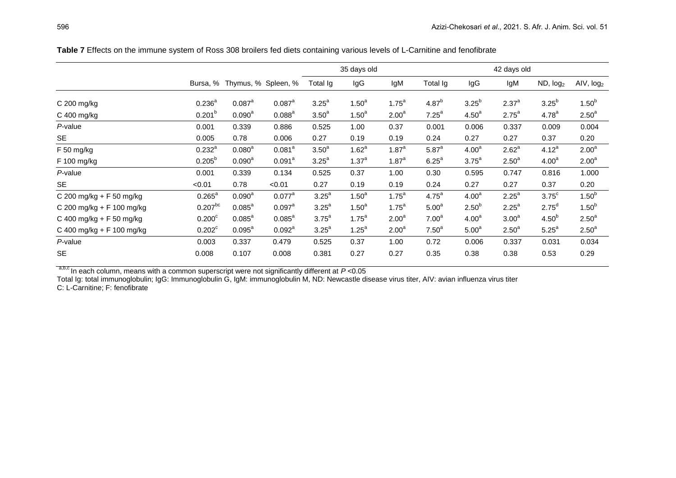| ND, log <sub>2</sub><br>AIV, log2                                                                                                                                                                             |
|---------------------------------------------------------------------------------------------------------------------------------------------------------------------------------------------------------------|
|                                                                                                                                                                                                               |
|                                                                                                                                                                                                               |
| 1.50 <sup>b</sup>                                                                                                                                                                                             |
| 2.50 <sup>a</sup>                                                                                                                                                                                             |
| 0.004                                                                                                                                                                                                         |
| 0.20                                                                                                                                                                                                          |
| 2.00 <sup>a</sup>                                                                                                                                                                                             |
| 2.00 <sup>a</sup>                                                                                                                                                                                             |
| 1.000                                                                                                                                                                                                         |
| 0.20                                                                                                                                                                                                          |
| 1.50 <sup>b</sup>                                                                                                                                                                                             |
| 1.50 <sup>b</sup>                                                                                                                                                                                             |
| 2.50 <sup>a</sup>                                                                                                                                                                                             |
| 2.50 <sup>a</sup>                                                                                                                                                                                             |
| 0.034                                                                                                                                                                                                         |
| 0.29                                                                                                                                                                                                          |
| $3.25^{b}$<br>4.78 <sup>a</sup><br>0.009<br>0.37<br>4.12 <sup>a</sup><br>4.00 <sup>a</sup><br>0.816<br>0.37<br>$3.75^{\circ}$<br>2.75 <sup>d</sup><br>4.50 <sup>b</sup><br>5.25 <sup>a</sup><br>0.031<br>0.53 |

**Table 7** Effects on the immune system of Ross 308 broilers fed diets containing various levels of L-Carnitine and fenofibrate

a,b,c In each column, means with a common superscript were not significantly different at *P* <0.05

Total Ig: total immunoglobulin; IgG: Immunoglobulin G, IgM: immunoglobulin M, ND: Newcastle disease virus titer, AIV: avian influenza virus titer C: L-Carnitine; F: fenofibrate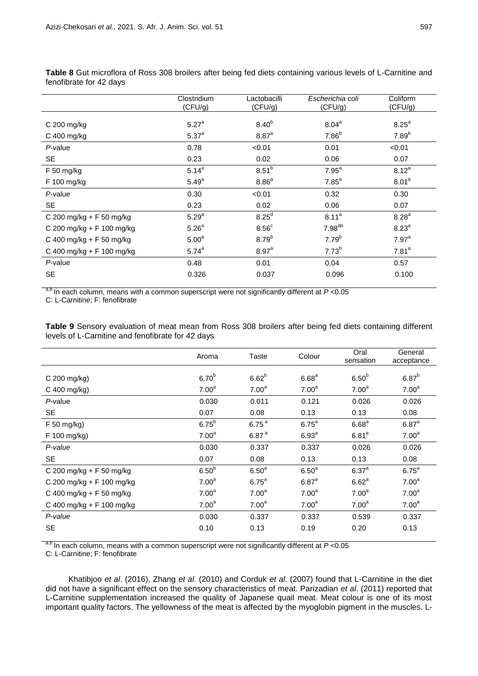|                            | Clostridium       | Lactobacilli        | Escherichia coli  | Coliform          |
|----------------------------|-------------------|---------------------|-------------------|-------------------|
|                            | (CFU/g)           | (CFU/g)             | (CFU/g)           | (CFU/g)           |
|                            |                   |                     |                   |                   |
| $C$ 200 mg/kg              | 5.27 <sup>a</sup> | 8.40 <sup>b</sup>   | $8.04^{\text{a}}$ | 8.25 <sup>a</sup> |
| C 400 mg/kg                | 5.37 <sup>a</sup> | $8.87$ <sup>a</sup> | 7.86 <sup>b</sup> | 7.89 <sup>b</sup> |
| P-value                    | 0.78              | < 0.01              | 0.01              | < 0.01            |
| <b>SE</b>                  | 0.23              | 0.02                | 0.06              | 0.07              |
| $F$ 50 mg/kg               | $5.14^{a}$        | $8.51^{b}$          | 7.95 <sup>a</sup> | $8.12^{a}$        |
| F 100 mg/kg                | 5.49 <sup>a</sup> | 8.86 <sup>a</sup>   | 7.85 <sup>a</sup> | 8.01 <sup>a</sup> |
| P-value                    | 0.30              | < 0.01              | 0.32              | 0.30              |
| <b>SE</b>                  | 0.23              | 0.02                | 0.06              | 0.07              |
| C 200 mg/kg + F 50 mg/kg   | 5.29 <sup>a</sup> | 8.25 <sup>d</sup>   | 8.11 <sup>a</sup> | 8.28 <sup>a</sup> |
| C 200 mg/kg + F 100 mg/kg  | 5.26 <sup>a</sup> | 8.56 <sup>c</sup>   | $7.98^{ab}$       | 8.23 <sup>a</sup> |
| C 400 mg/kg + $F$ 50 mg/kg | 5.00 <sup>a</sup> | 8.79 <sup>b</sup>   | 7.79 <sup>b</sup> | 7.97 <sup>a</sup> |
| C 400 mg/kg + F 100 mg/kg  | $5.74^{a}$        | $8.97^{a}$          | $7.73^{b}$        | 7.81 <sup>a</sup> |
| P-value                    | 0.48              | 0.01                | 0.04              | 0.57              |
| <b>SE</b>                  | 0.326             | 0.037               | 0.096             | 0.100             |
|                            |                   |                     |                   |                   |

**Table 8** Gut microflora of Ross 308 broilers after being fed diets containing various levels of L-Carnitine and fenofibrate for 42 days

a,b In each column, means with a common superscript were not significantly different at *P* <0.05

C: L-Carnitine; F: fenofibrate

**Table 9** Sensory evaluation of meat mean from Ross 308 broilers after being fed diets containing different levels of L-Carnitine and fenofibrate for 42 days

|                           | Aroma             | Taste             | Colour            | Oral<br>sensation | General<br>acceptance |
|---------------------------|-------------------|-------------------|-------------------|-------------------|-----------------------|
| C 200 mg/kg)              | 6.70 <sup>b</sup> | 6.62 <sup>b</sup> | 6.68 <sup>a</sup> | 6.50 <sup>b</sup> | 6.87 <sup>b</sup>     |
| C 400 mg/kg)              | 7.00 <sup>a</sup> | 7.00 <sup>a</sup> | 7.00 <sup>a</sup> | 7.00 <sup>a</sup> | 7.00 <sup>a</sup>     |
| P-value                   | 0.030             | 0.011             | 0.121             | 0.026             | 0.026                 |
| <b>SE</b>                 | 0.07              | 0.08              | 0.13              | 0.13              | 0.08                  |
| F 50 mg/kg)               | 6.75 <sup>b</sup> | 6.75 <sup>a</sup> | $6.75^a$          | 6.68 <sup>a</sup> | $6.87$ <sup>a</sup>   |
| F 100 mg/kg)              | 7.00 <sup>a</sup> | 6.87 <sup>a</sup> | 6.93 <sup>a</sup> | 6.81 <sup>a</sup> | 7.00 <sup>a</sup>     |
| P-value                   | 0.030             | 0.337             | 0.337             | 0.026             | 0.026                 |
| <b>SE</b>                 | 0.07              | 0.08              | 0.13              | 0.13              | 0.08                  |
| C 200 mg/kg + F 50 mg/kg  | 6.50 <sup>b</sup> | 6.50 <sup>a</sup> | 6.50 <sup>a</sup> | 6.37 <sup>a</sup> | 6.75 <sup>a</sup>     |
| C 200 mg/kg + F 100 mg/kg | 7.00 <sup>a</sup> | $6.75^a$          | $6.87^{a}$        | 6.62 <sup>a</sup> | 7.00 <sup>a</sup>     |
| C 400 mg/kg + F 50 mg/kg  | 7.00 <sup>a</sup> | 7.00 <sup>a</sup> | 7.00 <sup>a</sup> | 7.00 <sup>a</sup> | 7.00 <sup>a</sup>     |
| C 400 mg/kg + F 100 mg/kg | 7.00 <sup>a</sup> | 7.00 <sup>a</sup> | 7.00 <sup>a</sup> | 7.00 <sup>a</sup> | 7.00 <sup>a</sup>     |
| P-value                   | 0.030             | 0.337             | 0.337             | 0.539             | 0.337                 |
| <b>SE</b>                 | 0.10              | 0.13              | 0.19              | 0.20              | 0.13                  |

a,b In each column, means with a common superscript were not significantly different at *P* <0.05

C: L-Carnitine; F: fenofibrate

Khatibjoo *et al*. (2016), Zhang *et al*. (2010) and Corduk *et al*. (2007) found that L-Carnitine in the diet did not have a significant effect on the sensory characteristics of meat. Parizadian *et al*. (2011) reported that L-Carnitine supplementation increased the quality of Japanese quail meat. Meat colour is one of its most important quality factors. The yellowness of the meat is affected by the myoglobin pigment in the muscles. L-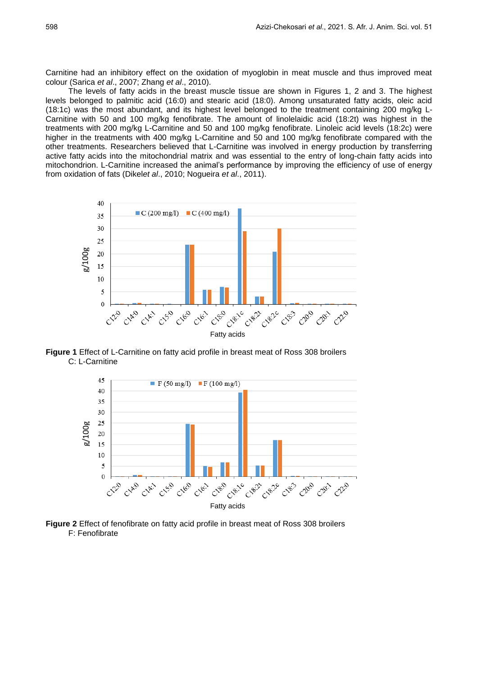Carnitine had an inhibitory effect on the oxidation of myoglobin in meat muscle and thus improved meat colour (Sarica *et al*., 2007; Zhang *et al*., 2010).

The levels of fatty acids in the breast muscle tissue are shown in Figures 1, 2 and 3. The highest levels belonged to palmitic acid (16:0) and stearic acid (18:0). Among unsaturated fatty acids, oleic acid (18:1c) was the most abundant, and its highest level belonged to the treatment containing 200 mg/kg L-Carnitine with 50 and 100 mg/kg fenofibrate. The amount of linolelaidic acid (18:2t) was highest in the treatments with 200 mg/kg L-Carnitine and 50 and 100 mg/kg fenofibrate. Linoleic acid levels (18:2c) were higher in the treatments with 400 mg/kg L-Carnitine and 50 and 100 mg/kg fenofibrate compared with the other treatments. Researchers believed that L-Carnitine was involved in energy production by transferring active fatty acids into the mitochondrial matrix and was essential to the entry of long-chain fatty acids into mitochondrion. L-Carnitine increased the animal's performance by improving the efficiency of use of energy from oxidation of fats (Dikel*et al*., 2010; Nogueira *et al*., 2011).



**Figure 1** Effect of L-Carnitine on fatty acid profile in breast meat of Ross 308 broilers C: L-Carnitine



**Figure 2** Effect of fenofibrate on fatty acid profile in breast meat of Ross 308 broilers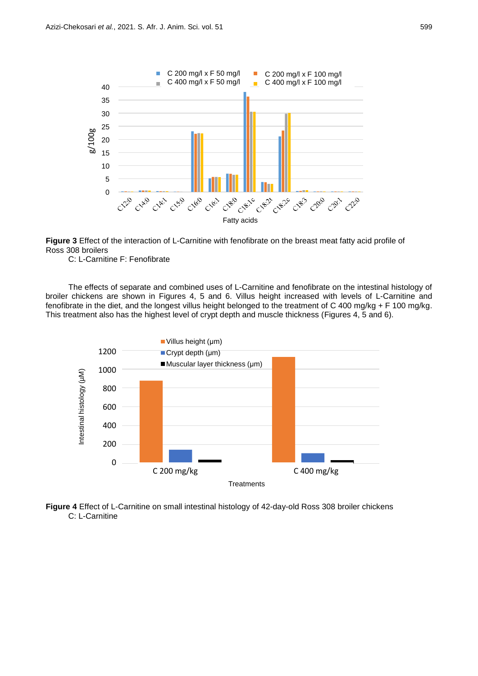

**Figure 3** Effect of the interaction of L-Carnitine with fenofibrate on the breast meat fatty acid profile of Ross 308 broilers

C: L-Carnitine F: Fenofibrate

The effects of separate and combined uses of L-Carnitine and fenofibrate on the intestinal histology of broiler chickens are shown in Figures 4, 5 and 6. Villus height increased with levels of L-Carnitine and fenofibrate in the diet, and the longest villus height belonged to the treatment of C 400 mg/kg + F 100 mg/kg. This treatment also has the highest level of crypt depth and muscle thickness (Figures 4, 5 and 6).



**Figure 4** Effect of L-Carnitine on small intestinal histology of 42-day-old Ross 308 broiler chickens C: L-Carnitine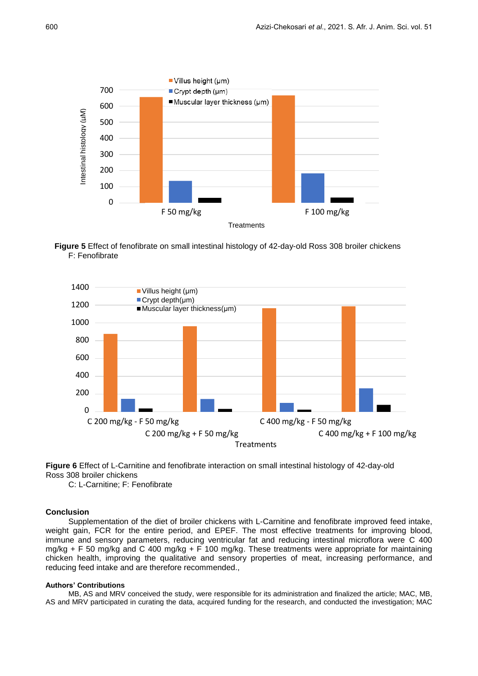

**Figure 5** Effect of fenofibrate on small intestinal histology of 42-day-old Ross 308 broiler chickens F: Fenofibrate



**Figure 6** Effect of L-Carnitine and fenofibrate interaction on small intestinal histology of 42-day-old Ross 308 broiler chickens

C: L-Carnitine; F: Fenofibrate

### **Conclusion**

Supplementation of the diet of broiler chickens with L-Carnitine and fenofibrate improved feed intake, weight gain, FCR for the entire period, and EPEF. The most effective treatments for improving blood, immune and sensory parameters, reducing ventricular fat and reducing intestinal microflora were C 400 mg/kg + F 50 mg/kg and C 400 mg/kg + F 100 mg/kg. These treatments were appropriate for maintaining chicken health, improving the qualitative and sensory properties of meat, increasing performance, and reducing feed intake and are therefore recommended.,

#### **Authors' Contributions**

MB, AS and MRV conceived the study, were responsible for its administration and finalized the article; MAC, MB, AS and MRV participated in curating the data, acquired funding for the research, and conducted the investigati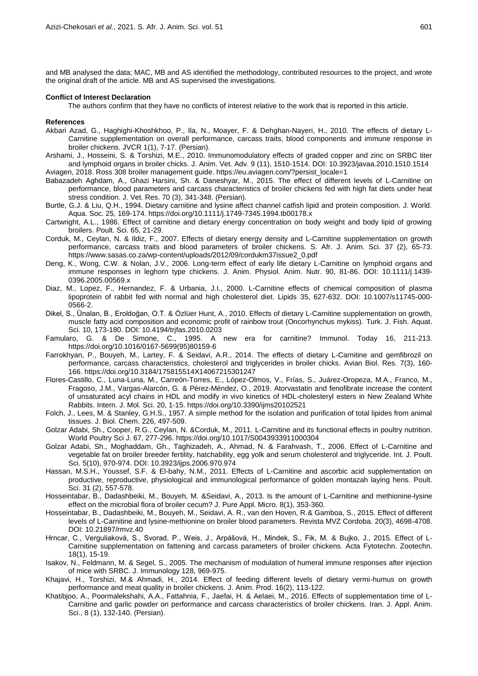and MB analysed the data; MAC, MB and AS identified the methodology, contributed resources to the project, and wrote the original draft of the article. MB and AS supervised the investigations.

#### **Conflict of Interest Declaration**

The authors confirm that they have no conflicts of interest relative to the work that is reported in this article.

#### **References**

- Akbari Azad, G., Haghighi-Khoshkhoo, P., Ila, N., Moayer, F. & Dehghan-Nayeri, H., 2010. The effects of dietary L-Carnitine supplementation on overall performance, carcass traits, blood components and immune response in broiler chickens. JVCR 1(1), 7-17. (Persian).
- Arshami, J., Hosseini, S. & Torshizi, M.E., 2010. Immunomodulatory effects of graded copper and zinc on SRBC titer and lymphoid organs in broiler chicks. J. Anim. Vet. Adv. 9 (11), 1510-1514. DOI: 10.3923/javaa.2010.1510.1514 Aviagen, 2018. Ross 308 broiler management guide. https://eu.aviagen.com/?persist\_locale=1
- Babazadeh Aghdam, A., Ghazi Harsini, Sh. & Daneshyar, M., 2015. The effect of different levels of L-Carnitine on performance, blood parameters and carcass characteristics of broiler chickens fed with high fat diets under heat stress condition. J. Vet. Res. 70 (3), 341-348. (Persian).
- Burtle, G.J. & Liu, Q.H., 1994. Dietary carnitine and lysine affect channel catfish lipid and protein composition. J. World. Aqua. Soc. 25, 169-174. https://doi.org/10.1111/j.1749-7345.1994.tb00178.x
- Cartwright, A.L., 1986. Effect of carnitine and dietary energy concentration on body weight and body lipid of growing broilers. Poult. Sci. 65, 21-29.
- Corduk, M., Ceylan, N. & Ildiz, F., 2007. Effects of dietary energy density and L-Carnitine supplementation on growth performance, carcass traits and blood parameters of broiler chickens. S. Afr. J. Anim. Sci. 37 (2), 65-73. https://www.sasas.co.za/wp-content/uploads/2012/09/cordukm37issue2\_0.pdf
- Deng, K., Wong, C.W. & Nolan, J.V., 2006. Long-term effect of early life dietary L-Carnitine on lymphoid organs and immune responses in leghorn type chickens. J. Anim. Physiol. Anim. Nutr. 90, 81-86. DOI: 10.1111/j.1439- 0396.2005.00569.x
- Diaz, M., Lopez, F., Hernandez, F. & Urbania, J.I., 2000. L-Carnitine effects of chemical composition of plasma lipoprotein of rabbit fed with normal and high cholesterol diet. Lipids 35, 627-632. DOI: 10.1007/s11745-000- 0566-2.
- Dikel, S., Ünalan, B., Eroldoğan, O.T. & Özlüer Hunt, A., 2010. Effects of dietary L-Carnitine supplementation on growth, muscle fatty acid composition and economic profit of rainbow trout (Oncorhynchus mykiss). Turk. J. Fish. Aquat. Sci. 10, 173-180. DOI: 10.4194/trjfas.2010.0203
- Famularo, G. & De Simone, C., 1995. A new era for carnitine? Immunol. Today 16, 211-213. https://doi.org/10.1016/0167-5699(95)80159-6
- Farrokhyan, P., Bouyeh, M., Lartey, F. & Seidavi, A.R., 2014. The effects of dietary L-Carnitine and gemfibrozil on performance, carcass characteristics, cholesterol and triglycerides in broiler chicks. Avian Biol. Res. 7(3), 160- 166. https://doi.org/10.3184/175815514X14067215301247
- Flores-Castillo, C., Luna-Luna, M., Carreón-Torres, E., López-Olmos, V., Frías, S., Juárez-Oropeza, M.A., Franco, M., Fragoso, J.M., Vargas-Alarcón, G. & Pérez-Méndez, O., 2019. Atorvastatin and fenofibrate increase the content of unsaturated acyl chains in HDL and modify in vivo kinetics of HDL-cholesteryl esters in New Zealand White Rabbits. Intern. J. Mol. Sci. 20, 1-15. https://doi.org/10.3390/ijms20102521
- Folch, J., Lees, M. & Stanley, G.H.S., 1957. A simple method for the isolation and purification of total lipides from animal tissues. J. Biol. Chem. 226, 497-509.
- Golzar Adabi, Sh., Cooper, R.G., Ceylan, N. &Corduk, M., 2011. L-Carnitine and its functional effects in poultry nutrition. World Poultry Sci J. 67, 277-296. https://doi.org/10.1017/S0043933911000304
- Golzar Adabi, Sh., [Moghaddam,](https://www.researchgate.net/profile/Gholamali_Moghaddam?_sg%5B0%5D=OFkTofb0qkdl09t8uPEfKOuUDejg4JfS-dWMv9AN-02bq7R16OYIAsIqVdVWO1yWaPTaxoA.kuaj4JMMCV8LEI9aLvHlgmm36AwNdNjZx1i6WfSP1C4VAZ9bh3zaOPik2Bp5oFQ9oW3_hlyEMwKhv018f3ZDUw&_sg%5B1%5D=fDjDPnDDdf0feSWgX-yUba4fw2u0ihgeQvd7YmJ66kpVMIGjghZukEf1JW7B_MoPbTWPqG0.T3rBJQIF-Yy42DhukDoViDwutS8Hydy_JSdWedfpjlROsK7GFaxeuAgXxMX12XQWN1xi3V5EuIAPf8aZVDGpQA) Gh., [Taghizadeh,](https://www.researchgate.net/profile/Akbar_Taghizadeh2?_sg%5B0%5D=OFkTofb0qkdl09t8uPEfKOuUDejg4JfS-dWMv9AN-02bq7R16OYIAsIqVdVWO1yWaPTaxoA.kuaj4JMMCV8LEI9aLvHlgmm36AwNdNjZx1i6WfSP1C4VAZ9bh3zaOPik2Bp5oFQ9oW3_hlyEMwKhv018f3ZDUw&_sg%5B1%5D=fDjDPnDDdf0feSWgX-yUba4fw2u0ihgeQvd7YmJ66kpVMIGjghZukEf1JW7B_MoPbTWPqG0.T3rBJQIF-Yy42DhukDoViDwutS8Hydy_JSdWedfpjlROsK7GFaxeuAgXxMX12XQWN1xi3V5EuIAPf8aZVDGpQA) A., [Ahmad,](https://www.researchgate.net/profile/Nematollahi_Ahmad) N. & [Farahvash,](https://www.researchgate.net/profile/Tarlan_Farahvash3) T., 2006. Effect of L-Carnitine and vegetable fat on broiler breeder fertility, hatchability, egg yolk and serum cholesterol and triglyceride. Int. J. Poult. Sci. 5(10), 970-974. DOI: 10.3923/ijps.2006.970.974
- Hassan, M.S.H., Youssef, S.F. & El-bahy, N.M., 2011. Effects of L-Carnitine and ascorbic acid supplementation on productive, reproductive, physiological and immunological performance of golden montazah laying hens. Poult. Sci. 31 (2), 557-578.
- Hosseintabar, B., Dadashbeiki, M., Bouyeh, M. &Seidavi, A., 2013. Is the amount of L-Carnitine and methionine-lysine effect on the microbial flora of broiler cecum? J. Pure Appl. Micro. 8(1), 353-360.
- Hosseintabar, B., Dadashbeiki, M., Bouyeh, M., Seidavi, A. R., van den Hoven, R.& Gamboa, S., 2015. Effect of different levels of L-Carnitine and lysine-methionine on broiler blood parameters. Revista MVZ Cordoba. 20(3), 4698-4708. DOI: 10.21897/rmvz.40
- Hrncar, C., Verguliaková, S., Svorad, P., Weis, J., Arpášová, H., Mindek, S., Fik, M. & Bujko, J., 2015. Effect of L-Carnitine supplementation on fattening and carcass parameters of broiler chickens. Acta Fytotechn. Zootechn. 18(1), 15-19.
- Isakov, N., Feldmann, M. & Segel, S., 2005. The mechanism of modulation of humeral immune responses after injection of mice with SRBC. J. Immunology 128, 969-975.
- Khajavi, H., Torshizi, M.& Ahmadi, H., 2014. Effect of feeding different levels of dietary vermi-humus on growth performance and meat quality in broiler chickens. J. Anim. Prod. 16(2), 113-122.
- Khatibjoo, A., Poormalekshahi, A.A., Fattahnia, F., Jaefai, H. & Aelaei, M., 2016. Effects of supplementation time of L-Carnitine and garlic powder on performance and carcass characteristics of broiler chickens. Iran. J. Appl. Anim. Sci., 8 (1), 132-140. (Persian).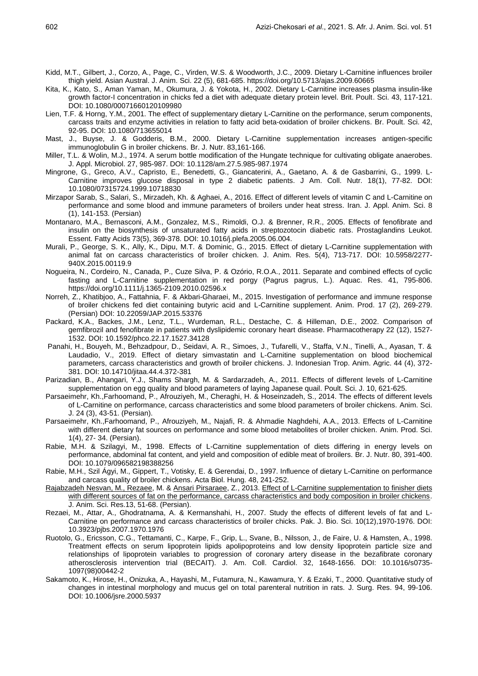- Kidd, M.T., Gilbert, J., Corzo, A., Page, C., Virden, W.S. & Woodworth, J.C., 2009. Dietary L-Carnitine influences broiler thigh yield. Asian Austral. J. Anim. Sci. 22 (5), 681-685. https://doi.org/10.5713/ajas.2009.60665
- Kita, K., Kato, S., Aman Yaman, M., Okumura, J. & Yokota, H., 2002. Dietary L-Carnitine increases plasma insulin-like growth factor-I concentration in chicks fed a diet with adequate dietary protein level. Brit. Poult. Sci. 43, 117-121. DOI: 10.1080/00071660120109980
- Lien, T.F. & Horng, Y.M., 2001. The effect of supplementary dietary L-Carnitine on the performance, serum components, carcass traits and enzyme activities in relation to fatty acid beta-oxidation of broiler chickens. Br. Poult. Sci. 42, 92-95. DOI: 10.1080/713655014
- Mast, J., Buyse, J. & Godderis, B.M., 2000. Dietary L-Carnitine supplementation increases antigen-specific immunoglobulin G in broiler chickens. Br. J. Nutr. 83,161-166.
- Miller, T.L. & Wolin, M.J., 1974. A serum bottle modification of the Hungate technique for cultivating obligate anaerobes. J. Appl. Microbiol. 27, 985-987. DOI: 10.1128/am.27.5.985-987.1974
- Mingrone, G., Greco, A.V., Capristo, E., Benedetti, G., Giancaterini, A., Gaetano, A. & de Gasbarrini, G., 1999. L-Carnitine improves glucose disposal in type 2 diabetic patients. J Am. Coll. Nutr. 18(1), 77-82. DOI: 10.1080/07315724.1999.10718830
- Mirzapor Sarab, S., Salari, S., Mirzadeh, Kh. & Aghaei, A., 2016. Effect of different levels of vitamin C and L-Carnitine on performance and some blood and immune parameters of broilers under heat stress. Iran. J. Appl. Anim. Sci. 8 (1), 141-153. (Persian)
- Montanaro, M.A., Bernasconi, A.M., Gonzalez, M.S., Rimoldi, O.J. & Brenner, R.R., 2005. Effects of fenofibrate and insulin on the biosynthesis of unsaturated fatty acids in streptozotocin diabetic rats. Prostaglandins Leukot. Essent. Fatty Acids 73(5), 369-378. DOI: 10.1016/j.plefa.2005.06.004.
- Murali, P., George, S. K., Ally, K., Dipu, M.T. & Dominic, G., 2015. Effect of dietary L-Carnitine supplementation with animal fat on carcass characteristics of broiler chicken. J. Anim. Res. 5(4), 713-717. DOI: 10.5958/2277- 940X.2015.00119.9
- Nogueira, N., Cordeiro, N., Canada, P., Cuze Silva, P. & Ozório, R.O.A., 2011. Separate and combined effects of cyclic fasting and L-Carnitine supplementation in red porgy (Pagrus pagrus, L.). Aquac. Res. 41, 795-806. https://doi.org/10.1111/j.1365-2109.2010.02596.x
- Norreh, Z., Khatibjoo, A., Fattahnia, F. & Akbari-Gharaei, M., 2015. Investigation of performance and immune response of broiler chickens fed diet containing butyric acid and L-Carnitine supplement. Anim. Prod. 17 (2), 269-279. (Persian) DOI: 10.22059/JAP.2015.53376
- Packard, K.A., Backes, J.M., Lenz, T.L., Wurdeman, R.L., Destache, C. & Hilleman, D.E., 2002. Comparison of gemfibrozil and fenofibrate in patients with dyslipidemic coronary heart disease. Pharmacotherapy 22 (12), 1527- 1532. DOI: 10.1592/phco.22.17.1527.34128
- Panahi, H., Bouyeh, M., Behzadpour, D., Seidavi, A. R., Simoes, J., Tufarelli, V., Staffa, V.N., Tinelli, A., Ayasan, T. & Laudadio, V., 2019. Effect of dietary simvastatin and L-Carnitine supplementation on blood biochemical parameters, carcass characteristics and growth of broiler chickens. J. Indonesian Trop. Anim. Agric. 44 (4), 372- 381. DOI: 10.14710/jitaa.44.4.372-381
- Parizadian, B., Ahangari, Y.J., Shams Shargh, M. & Sardarzadeh, A., 2011. Effects of different levels of L-Carnitine supplementation on egg quality and blood parameters of laying Japanese quail. Poult. Sci. J. 10, 621-625.
- Parsaeimehr, Kh.,Farhoomand, P., Afrouziyeh, M., Cheraghi, H. & Hoseinzadeh, S., 2014. The effects of different levels of L-Carnitine on performance, carcass characteristics and some blood parameters of broiler chickens. Anim. Sci. J. 24 (3), 43-51. (Persian).
- Parsaeimehr, Kh.,Farhoomand, P., Afrouziyeh, M., Najafi, R. & Ahmadie Naghdehi, A.A., 2013. Effects of L-Carnitine with different dietary fat sources on performance and some blood metabolites of broiler chicken. Anim. Prod. Sci. 1(4), 27- 34. (Persian).
- Rabie, M.H. & Szilagyi, M., 1998. Effects of L-Carnitine supplementation of diets differing in energy levels on performance, abdominal fat content, and yield and composition of edible meat of broilers. Br. J. Nutr. 80, 391-400. DOI: 10.1079/096582198388256
- Rabie, M.H., Szil Ágyi, M., Gippert, T., Votisky, E. & Gerendai, D., 1997. Influence of dietary L-Carnitine on performance and carcass quality of broiler chickens. Acta Biol. Hung. 48, 241-252.
- Rajabzadeh [Nesvan, M., Rezaee,](http://nrp.kiau.ac.ir/?_action=article&au=613096&_au=Mohsen++Rajabzadeh+Nesvan) M. & [Ansari Pirsaraee,](http://nrp.kiau.ac.ir/?_action=article&au=611858&_au=Zarbakht++Ansari+Pirsaraee) Z., 2013. Effect of L-Carnitine [supplementation to finisher diets](http://nrp.kiau.ac.ir/article_531767_en.html)  [with different sources of fat on the performance, carcass characteristics and body composition in broiler chickens.](http://nrp.kiau.ac.ir/article_531767_en.html) J. Anim. Sci. Res.13, 51-68. (Persian).
- Rezaei, M., Attar, A., Ghodratnama, A. & Kermanshahi, H., 2007. Study the effects of different levels of fat and L-Carnitine on performance and carcass characteristics of broiler chicks. Pak. J. Bio. Sci. 10(12),1970-1976. DOI: 10.3923/pjbs.2007.1970.1976
- Ruotolo, G., Ericsson, C.G., Tettamanti, C., Karpe, F., Grip, L., Svane, B., Nilsson, J., de Faire, U. & Hamsten, A., 1998. Treatment effects on serum lipoprotein lipids apolipoproteins and low density lipoprotein particle size and relationships of lipoprotein variables to progression of coronary artery disease in the bezafibrate coronary atherosclerosis intervention trial (BECAIT). J. Am. Coll. Cardiol. 32, 1648-1656. DOI: 10.1016/s0735- 1097(98)00442-2
- Sakamoto, K., Hirose, H., Onizuka, A., Hayashi, M., Futamura, N., Kawamura, Y. & Ezaki, T., 2000. Quantitative study of changes in intestinal morphology and mucus gel on total parenteral nutrition in rats. J. Surg. Res. 94, 99-106. DOI: 10.1006/jsre.2000.5937